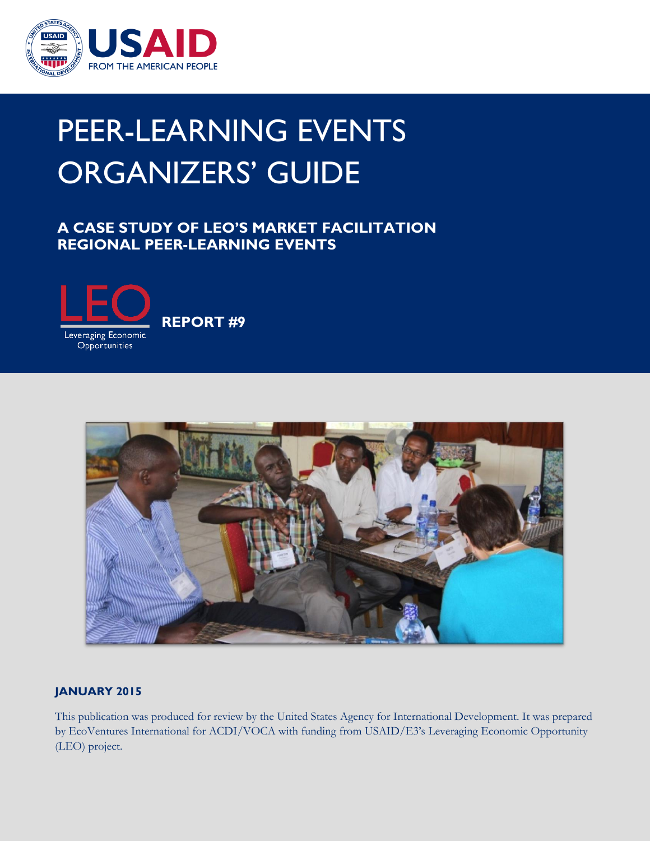

# PEER-LEARNING EVENTS ORGANIZERS' GUIDE

### **A CASE STUDY OF LEO'S MARKET FACILITATION REGIONAL PEER-LEARNING EVENTS**



 **REPORT #9** 



### **JANUARY 2015**

This publication was produced for review by the United States Agency for International Development. It was prepared by EcoVentures International for ACDI/VOCA with funding from USAID/E3's Leveraging Economic Opportunity (LEO) project.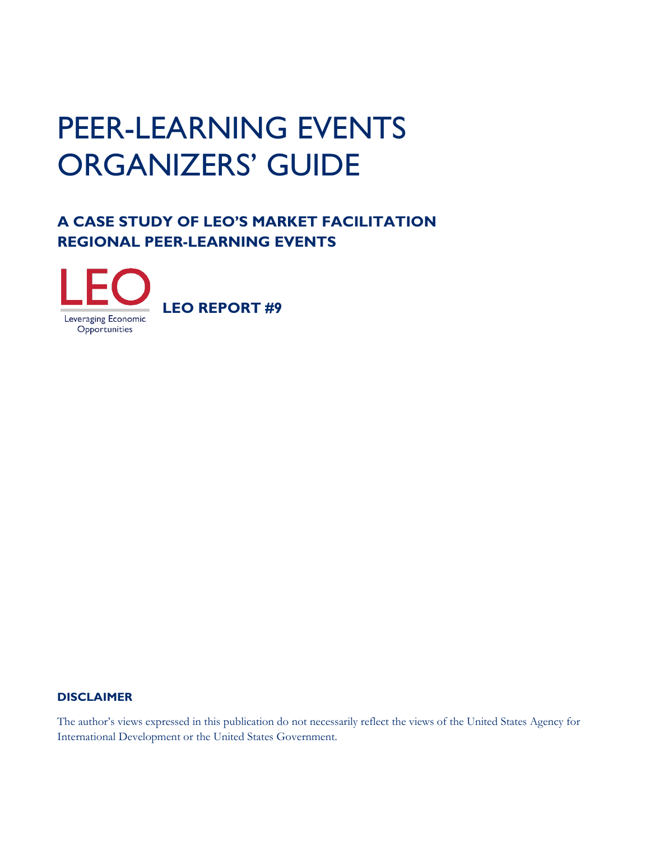## ORGANIZERS' GUIDE PEER-LEARNING EVENTS

## **A CASE STUDY OF LEO'S MARKET FACILITATION REGIONAL PEER-LEARNING EVENTS**



### **DISCLAIMER**

The author's views expressed in this publication do not necessarily reflect the views of the United States Agency for International Development or the United States Government.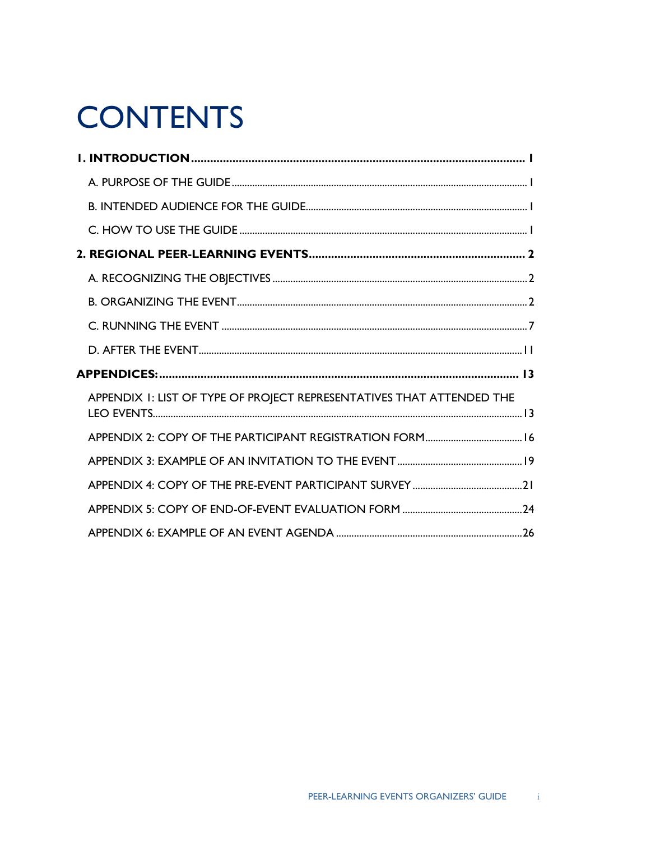## **CONTENTS**

| APPENDIX I: LIST OF TYPE OF PROJECT REPRESENTATIVES THAT ATTENDED THE |  |
|-----------------------------------------------------------------------|--|
|                                                                       |  |
|                                                                       |  |
|                                                                       |  |
|                                                                       |  |
|                                                                       |  |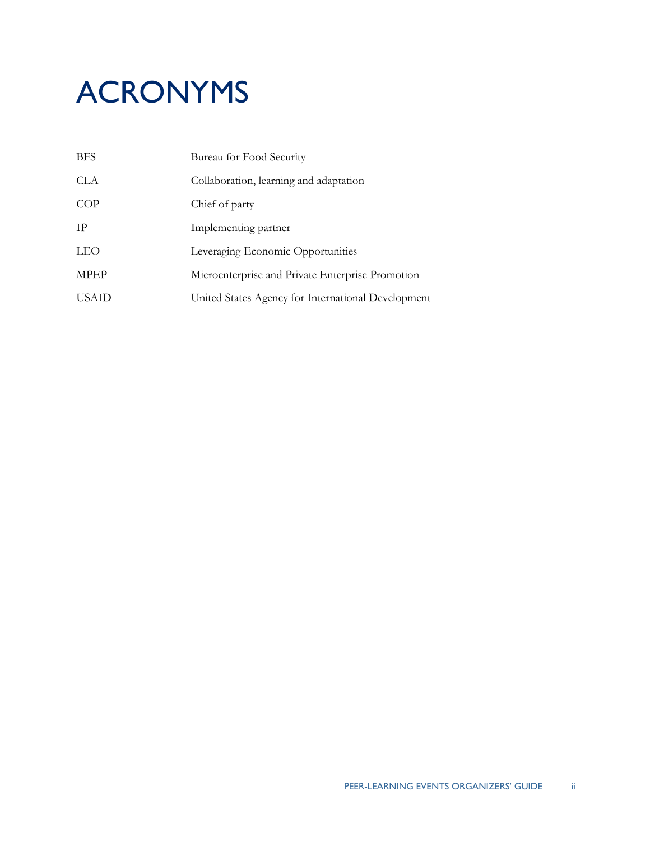# ACRONYMS

| <b>BFS</b>   | Bureau for Food Security                           |
|--------------|----------------------------------------------------|
| CLA          | Collaboration, learning and adaptation             |
| COP          | Chief of party                                     |
| <b>TP</b>    | Implementing partner                               |
| <b>LEO</b>   | Leveraging Economic Opportunities                  |
| <b>MPEP</b>  | Microenterprise and Private Enterprise Promotion   |
| <b>USAID</b> | United States Agency for International Development |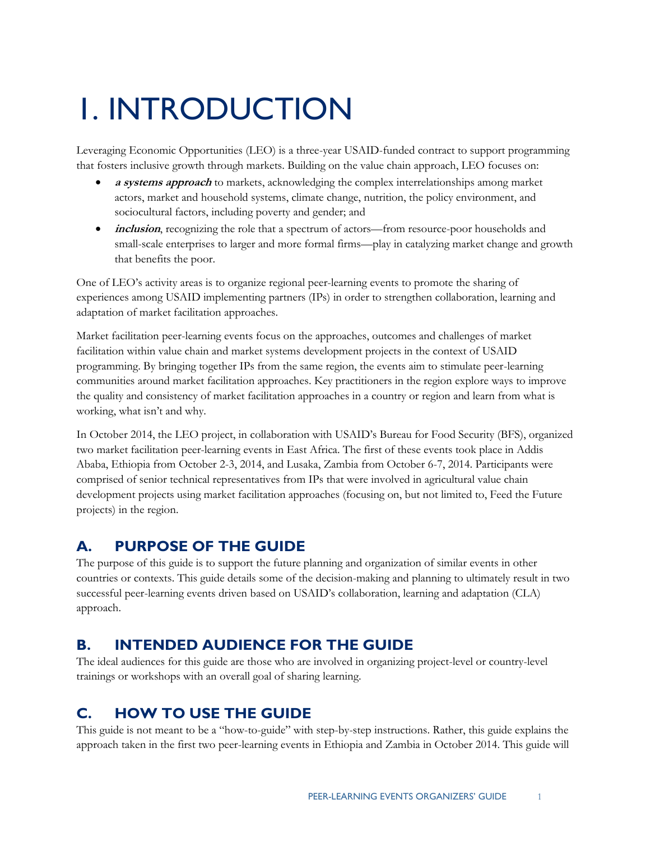# <span id="page-4-0"></span>1. INTRODUCTION

 that fosters inclusive growth through markets. Building on the value chain approach, LEO focuses on: Leveraging Economic Opportunities (LEO) is a three-year USAID-funded contract to support programming

- **a systems approach** to markets, acknowledging the complex interrelationships among market actors, market and household systems, climate change, nutrition, the policy environment, and sociocultural factors, including poverty and gender; and
- *inclusion*, recognizing the role that a spectrum of actors—from resource-poor households and small-scale enterprises to larger and more formal firms—play in catalyzing market change and growth that benefits the poor.

One of LEO's activity areas is to organize regional peer-learning events to promote the sharing of experiences among USAID implementing partners (IPs) in order to strengthen collaboration, learning and adaptation of market facilitation approaches.

 Market facilitation peer-learning events focus on the approaches, outcomes and challenges of market programming. By bringing together IPs from the same region, the events aim to stimulate peer-learning facilitation within value chain and market systems development projects in the context of USAID communities around market facilitation approaches. Key practitioners in the region explore ways to improve the quality and consistency of market facilitation approaches in a country or region and learn from what is working, what isn't and why.

In October 2014, the LEO project, in collaboration with USAID's Bureau for Food Security (BFS), organized two market facilitation peer-learning events in East Africa. The first of these events took place in Addis Ababa, Ethiopia from October 2-3, 2014, and Lusaka, Zambia from October 6-7, 2014. Participants were comprised of senior technical representatives from IPs that were involved in agricultural value chain development projects using market facilitation approaches (focusing on, but not limited to, Feed the Future projects) in the region.

### A. **PURPOSE OF THE GUIDE**

 The purpose of this guide is to support the future planning and organization of similar events in other countries or contexts. This guide details some of the decision-making and planning to ultimately result in two successful peer-learning events driven based on USAID's collaboration, learning and adaptation (CLA) approach.

### **B**. **INTENDED AUDIENCE FOR THE GUIDE**

The ideal audiences for this guide are those who are involved in organizing project-level or country-level trainings or workshops with an overall goal of sharing learning.

### **C. HOW TO USE THE GUIDE**

This guide is not meant to be a "how-to-guide" with step-by-step instructions. Rather, this guide explains the approach taken in the first two peer-learning events in Ethiopia and Zambia in October 2014. This guide will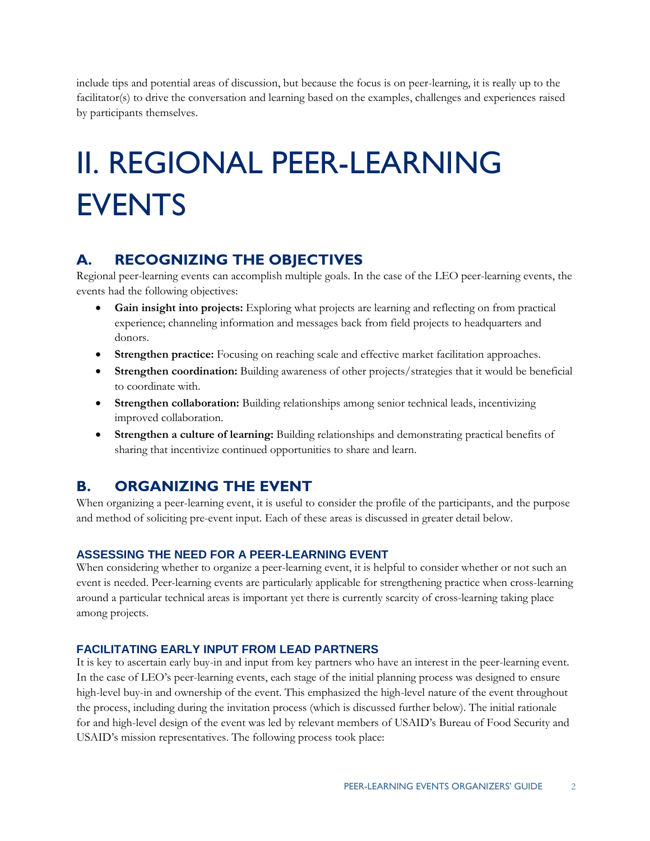include tips and potential areas of discussion, but because the focus is on peer-learning, it is really up to the facilitator(s) to drive the conversation and learning based on the examples, challenges and experiences raised by participants themselves.

# II. REGIONAL PEER-LEARNING EVENTS

### $\blacktriangle$ . **A. RECOGNIZING THE OBJECTIVES**

Regional peer-learning events can accomplish multiple goals. In the case of the LEO peer-learning events, the events had the following objectives:

- **Gain insight into projects:** Exploring what projects are learning and reflecting on from practical experience; channeling information and messages back from field projects to headquarters and donors.
- **Strengthen practice:** Focusing on reaching scale and effective market facilitation approaches.
- **Strengthen coordination:** Building awareness of other projects/strategies that it would be beneficial to coordinate with.
- **Strengthen collaboration:** Building relationships among senior technical leads, incentivizing improved collaboration.
- **Strengthen a culture of learning:** Building relationships and demonstrating practical benefits of sharing that incentivize continued opportunities to share and learn.

### **B. B. ORGANIZING THE EVENT**

When organizing a peer-learning event, it is useful to consider the profile of the participants, and the purpose and method of soliciting pre-event input. Each of these areas is discussed in greater detail below.

### **ASSESSING THE NEED FOR A PEER-LEARNING EVENT**

 When considering whether to organize a peer-learning event, it is helpful to consider whether or not such an around a particular technical areas is important yet there is currently scarcity of cross-learning taking place event is needed. Peer-learning events are particularly applicable for strengthening practice when cross-learning among projects.

### **FACILITATING EARLY INPUT FROM LEAD PARTNERS**

 In the case of LEO's peer-learning events, each stage of the initial planning process was designed to ensure USAID's mission representatives. The following process took place: It is key to ascertain early buy-in and input from key partners who have an interest in the peer-learning event. high-level buy-in and ownership of the event. This emphasized the high-level nature of the event throughout the process, including during the invitation process (which is discussed further below). The initial rationale for and high-level design of the event was led by relevant members of USAID's Bureau of Food Security and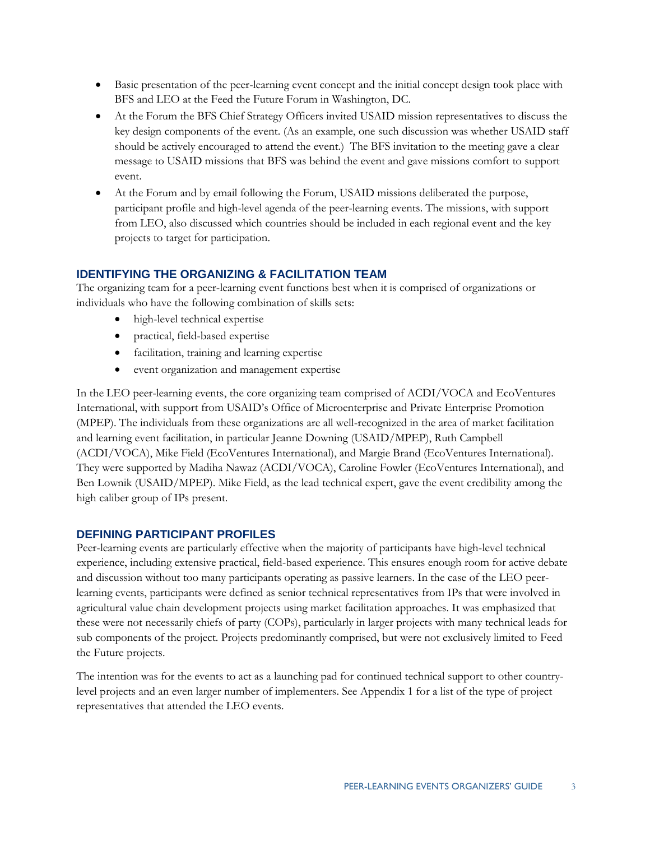- Basic presentation of the peer-learning event concept and the initial concept design took place with BFS and LEO at the Feed the Future Forum in Washington, DC.
- At the Forum the BFS Chief Strategy Officers invited USAID mission representatives to discuss the key design components of the event. (As an example, one such discussion was whether USAID staff should be actively encouraged to attend the event.) The BFS invitation to the meeting gave a clear message to USAID missions that BFS was behind the event and gave missions comfort to support event.
- At the Forum and by email following the Forum, USAID missions deliberated the purpose, participant profile and high-level agenda of the peer-learning events. The missions, with support from LEO, also discussed which countries should be included in each regional event and the key projects to target for participation.

### **IDENTIFYING THE ORGANIZING & FACILITATION TEAM**

 individuals who have the following combination of skills sets: The organizing team for a peer-learning event functions best when it is comprised of organizations or

- high-level technical expertise
- practical, field-based expertise
- facilitation, training and learning expertise
- event organization and management expertise

 In the LEO peer-learning events, the core organizing team comprised of ACDI/VOCA and EcoVentures International, with support from USAID's Office of Microenterprise and Private Enterprise Promotion Ben Lownik (USAID/MPEP). Mike Field, as the lead technical expert, gave the event credibility among the high caliber group of IPs present. (MPEP). The individuals from these organizations are all well-recognized in the area of market facilitation and learning event facilitation, in particular Jeanne Downing (USAID/MPEP), Ruth Campbell (ACDI/VOCA), Mike Field (EcoVentures International), and Margie Brand (EcoVentures International). They were supported by Madiha Nawaz (ACDI/VOCA), Caroline Fowler (EcoVentures International), and

### **DEFINING PARTICIPANT PROFILES**

 Peer-learning events are particularly effective when the majority of participants have high-level technical learning events, participants were defined as senior technical representatives from IPs that were involved in experience, including extensive practical, field-based experience. This ensures enough room for active debate and discussion without too many participants operating as passive learners. In the case of the LEO peeragricultural value chain development projects using market facilitation approaches. It was emphasized that these were not necessarily chiefs of party (COPs), particularly in larger projects with many technical leads for sub components of the project. Projects predominantly comprised, but were not exclusively limited to Feed the Future projects.

The intention was for the events to act as a launching pad for continued technical support to other countrylevel projects and an even larger number of implementers. See Appendix 1 for a list of the type of project representatives that attended the LEO events.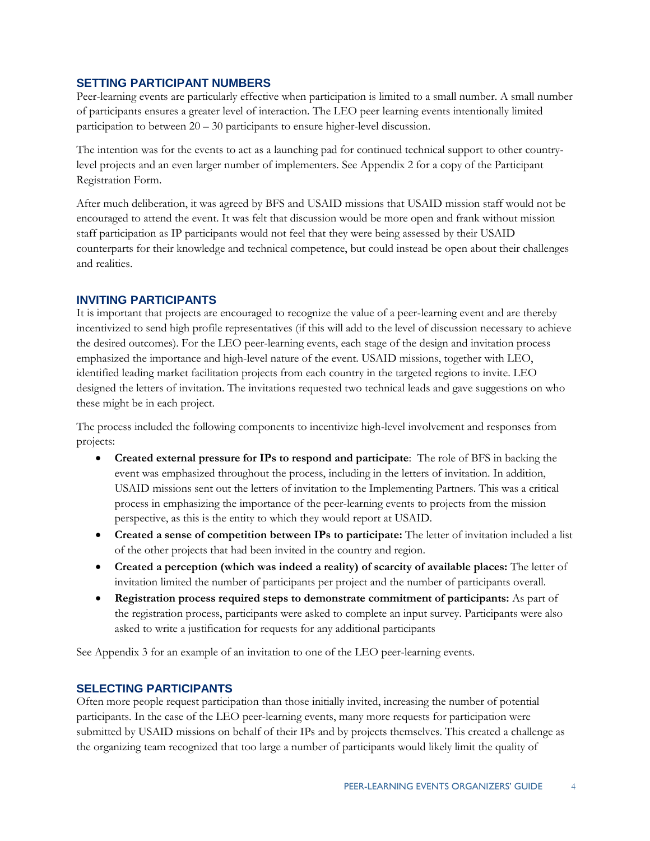### **SETTING PARTICIPANT NUMBERS**

Peer-learning events are particularly effective when participation is limited to a small number. A small number of participants ensures a greater level of interaction. The LEO peer learning events intentionally limited participation to between 20 – 30 participants to ensure higher-level discussion.

 level projects and an even larger number of implementers. See Appendix 2 for a copy of the Participant Registration Form. The intention was for the events to act as a launching pad for continued technical support to other country-

Registration Form.<br>After much deliberation, it was agreed by BFS and USAID missions that USAID mission staff would not be staff participation as IP participants would not feel that they were being assessed by their USAID counterparts for their knowledge and technical competence, but could instead be open about their challenges encouraged to attend the event. It was felt that discussion would be more open and frank without mission and realities.

### **INVITING PARTICIPANTS**

 incentivized to send high profile representatives (if this will add to the level of discussion necessary to achieve identified leading market facilitation projects from each country in the targeted regions to invite. LEO designed the letters of invitation. The invitations requested two technical leads and gave suggestions on who It is important that projects are encouraged to recognize the value of a peer-learning event and are thereby the desired outcomes). For the LEO peer-learning events, each stage of the design and invitation process emphasized the importance and high-level nature of the event. USAID missions, together with LEO, these might be in each project.

The process included the following components to incentivize high-level involvement and responses from projects:

- **Created external pressure for IPs to respond and participate**: The role of BFS in backing the perspective, as this is the entity to which they would report at USAID. event was emphasized throughout the process, including in the letters of invitation. In addition, USAID missions sent out the letters of invitation to the Implementing Partners. This was a critical process in emphasizing the importance of the peer-learning events to projects from the mission
- of the other projects that had been invited in the country and region. **Created a sense of competition between IPs to participate:** The letter of invitation included a list
- **Created a perception (which was indeed a reality) of scarcity of available places:** The letter of invitation limited the number of participants per project and the number of participants overall.
- asked to write a justification for requests for any additional participants **Registration process required steps to demonstrate commitment of participants:** As part of the registration process, participants were asked to complete an input survey. Participants were also

See Appendix 3 for an example of an invitation to one of the LEO peer-learning events.

### **SELECTING PARTICIPANTS**

Often more people request participation than those initially invited, increasing the number of potential participants. In the case of the LEO peer-learning events, many more requests for participation were submitted by USAID missions on behalf of their IPs and by projects themselves. This created a challenge as the organizing team recognized that too large a number of participants would likely limit the quality of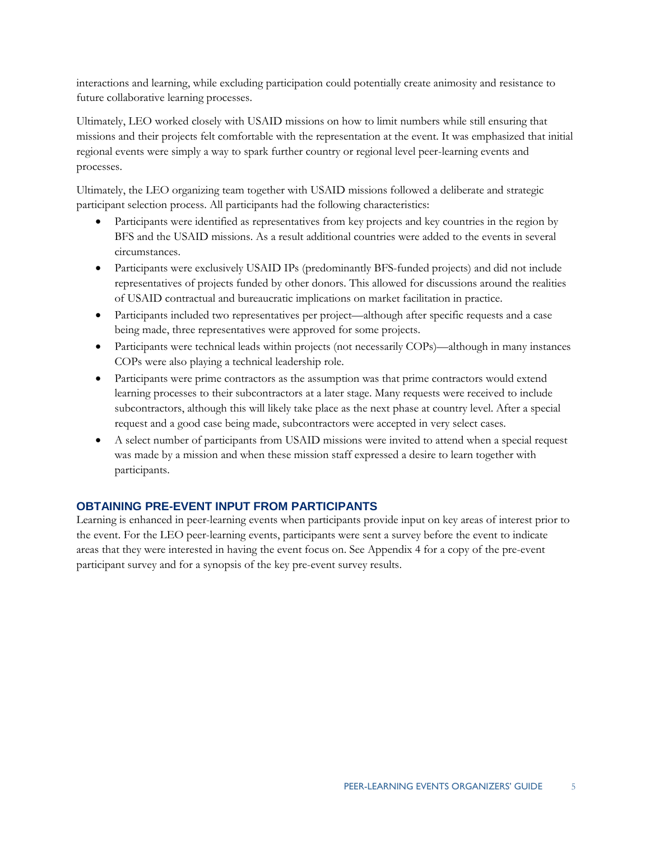interactions and learning, while excluding participation could potentially create animosity and resistance to future collaborative learning processes.

 regional events were simply a way to spark further country or regional level peer-learning events and Ultimately, LEO worked closely with USAID missions on how to limit numbers while still ensuring that missions and their projects felt comfortable with the representation at the event. It was emphasized that initial processes.

Ultimately, the LEO organizing team together with USAID missions followed a deliberate and strategic participant selection process. All participants had the following characteristics:

- Participants were identified as representatives from key projects and key countries in the region by BFS and the USAID missions. As a result additional countries were added to the events in several circumstances.
- Participants were exclusively USAID IPs (predominantly BFS-funded projects) and did not include representatives of projects funded by other donors. This allowed for discussions around the realities of USAID contractual and bureaucratic implications on market facilitation in practice.
- Participants included two representatives per project—although after specific requests and a case being made, three representatives were approved for some projects.
- Participants were technical leads within projects (not necessarily COPs)—although in many instances COPs were also playing a technical leadership role.
- Participants were prime contractors as the assumption was that prime contractors would extend learning processes to their subcontractors at a later stage. Many requests were received to include subcontractors, although this will likely take place as the next phase at country level. After a special request and a good case being made, subcontractors were accepted in very select cases.
- A select number of participants from USAID missions were invited to attend when a special request was made by a mission and when these mission staff expressed a desire to learn together with participants.

### **OBTAINING PRE-EVENT INPUT FROM PARTICIPANTS**

 participant survey and for a synopsis of the key pre-event survey results. Learning is enhanced in peer-learning events when participants provide input on key areas of interest prior to the event. For the LEO peer-learning events, participants were sent a survey before the event to indicate areas that they were interested in having the event focus on. See Appendix 4 for a copy of the pre-event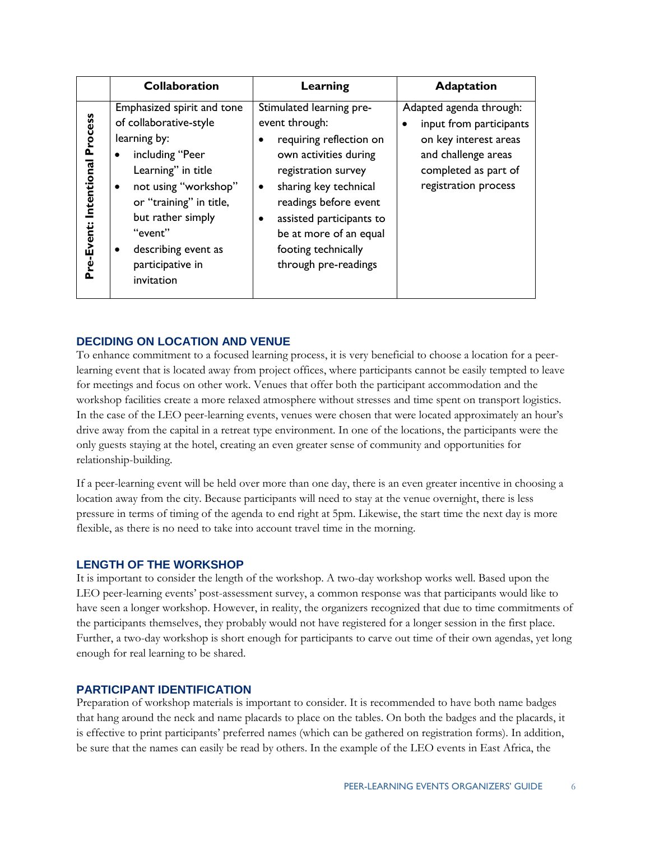|                                      | <b>Collaboration</b>                                                                                                                                                                                                                                      | Learning                                                                                                                                                                                                                                                                          | <b>Adaptation</b>                                                                                                                                  |
|--------------------------------------|-----------------------------------------------------------------------------------------------------------------------------------------------------------------------------------------------------------------------------------------------------------|-----------------------------------------------------------------------------------------------------------------------------------------------------------------------------------------------------------------------------------------------------------------------------------|----------------------------------------------------------------------------------------------------------------------------------------------------|
| Process<br>Intentional<br>Pre-Event: | Emphasized spirit and tone<br>of collaborative-style<br>learning by:<br>including "Peer<br>Learning" in title<br>not using "workshop"<br>or "training" in title,<br>but rather simply<br>"event"<br>describing event as<br>participative in<br>invitation | Stimulated learning pre-<br>event through:<br>requiring reflection on<br>own activities during<br>registration survey<br>sharing key technical<br>٠<br>readings before event<br>assisted participants to<br>be at more of an equal<br>footing technically<br>through pre-readings | Adapted agenda through:<br>input from participants<br>on key interest areas<br>and challenge areas<br>completed as part of<br>registration process |

### **DECIDING ON LOCATION AND VENUE**

 To enhance commitment to a focused learning process, it is very beneficial to choose a location for a peer- only guests staying at the hotel, creating an even greater sense of community and opportunities for relationship-building. learning event that is located away from project offices, where participants cannot be easily tempted to leave for meetings and focus on other work. Venues that offer both the participant accommodation and the workshop facilities create a more relaxed atmosphere without stresses and time spent on transport logistics. In the case of the LEO peer-learning events, venues were chosen that were located approximately an hour's drive away from the capital in a retreat type environment. In one of the locations, the participants were the

 pressure in terms of timing of the agenda to end right at 5pm. Likewise, the start time the next day is more If a peer-learning event will be held over more than one day, there is an even greater incentive in choosing a location away from the city. Because participants will need to stay at the venue overnight, there is less flexible, as there is no need to take into account travel time in the morning.

### **LENGTH OF THE WORKSHOP**

 It is important to consider the length of the workshop. A two-day workshop works well. Based upon the have seen a longer workshop. However, in reality, the organizers recognized that due to time commitments of LEO peer-learning events' post-assessment survey, a common response was that participants would like to the participants themselves, they probably would not have registered for a longer session in the first place. Further, a two-day workshop is short enough for participants to carve out time of their own agendas, yet long enough for real learning to be shared.

### **PARTICIPANT IDENTIFICATION**

Preparation of workshop materials is important to consider. It is recommended to have both name badges that hang around the neck and name placards to place on the tables. On both the badges and the placards, it is effective to print participants' preferred names (which can be gathered on registration forms). In addition, be sure that the names can easily be read by others. In the example of the LEO events in East Africa, the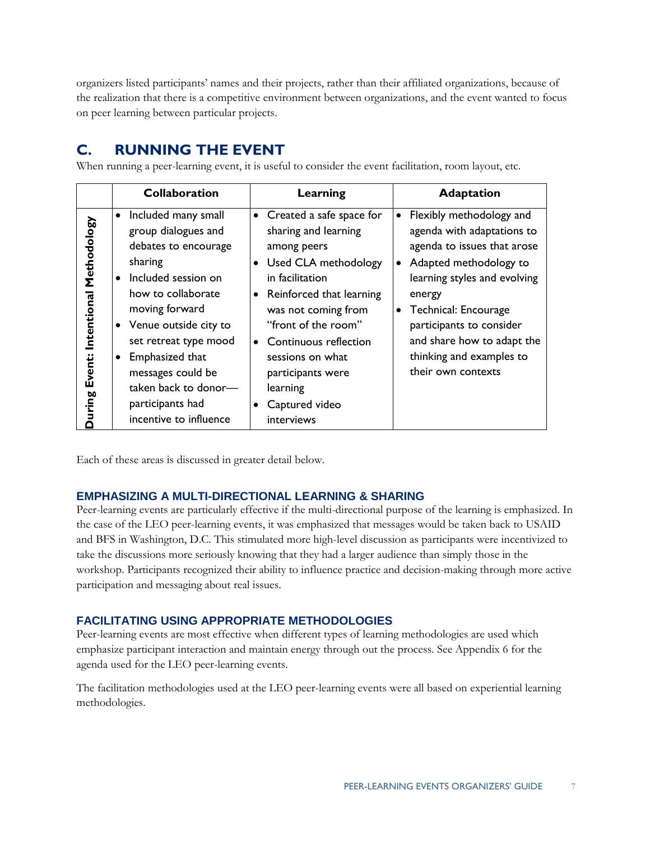organizers listed participants' names and their projects, rather than their affiliated organizations, because of the realization that there is a competitive environment between organizations, and the event wanted to focus on peer learning between particular projects.

### **C. RUNNING THE EVENT**

When running a peer-learning event, it is useful to consider the event facilitation, room layout, etc.

|                                                       | <b>Collaboration</b>                                                                                                                                                                                                                                                                                                                                | Learning                                                                                                                                                                                                                                                                                                                                               | <b>Adaptation</b>                                                                                                                                                                                                                                                                             |
|-------------------------------------------------------|-----------------------------------------------------------------------------------------------------------------------------------------------------------------------------------------------------------------------------------------------------------------------------------------------------------------------------------------------------|--------------------------------------------------------------------------------------------------------------------------------------------------------------------------------------------------------------------------------------------------------------------------------------------------------------------------------------------------------|-----------------------------------------------------------------------------------------------------------------------------------------------------------------------------------------------------------------------------------------------------------------------------------------------|
| Methodology<br>Intentional<br>Event:<br><b>Suring</b> | Included many small<br>$\bullet$<br>group dialogues and<br>debates to encourage<br>sharing<br>Included session on<br>$\bullet$<br>how to collaborate<br>moving forward<br>Venue outside city to<br>set retreat type mood<br>Emphasized that<br>$\bullet$<br>messages could be<br>taken back to donor-<br>participants had<br>incentive to influence | Created a safe space for<br>$\bullet$<br>sharing and learning<br>among peers<br>Used CLA methodology<br>$\bullet$<br>in facilitation<br>Reinforced that learning<br>$\bullet$<br>was not coming from<br>"front of the room"<br>Continuous reflection<br>$\bullet$<br>sessions on what<br>participants were<br>learning<br>Captured video<br>interviews | Flexibly methodology and<br>agenda with adaptations to<br>agenda to issues that arose<br>Adapted methodology to<br>learning styles and evolving<br>energy<br>Technical: Encourage<br>participants to consider<br>and share how to adapt the<br>thinking and examples to<br>their own contexts |

Each of these areas is discussed in greater detail below.

### **EMPHASIZING A MULTI-DIRECTIONAL LEARNING & SHARING**

 take the discussions more seriously knowing that they had a larger audience than simply those in the Peer-learning events are particularly effective if the multi-directional purpose of the learning is emphasized. In the case of the LEO peer-learning events, it was emphasized that messages would be taken back to USAID and BFS in Washington, D.C. This stimulated more high-level discussion as participants were incentivized to workshop. Participants recognized their ability to influence practice and decision-making through more active participation and messaging about real issues.

### **FACILITATING USING APPROPRIATE METHODOLOGIES**

 Peer-learning events are most effective when different types of learning methodologies are used which emphasize participant interaction and maintain energy through out the process. See Appendix 6 for the agenda used for the LEO peer-learning events.

The facilitation methodologies used at the LEO peer-learning events were all based on experiential learning methodologies.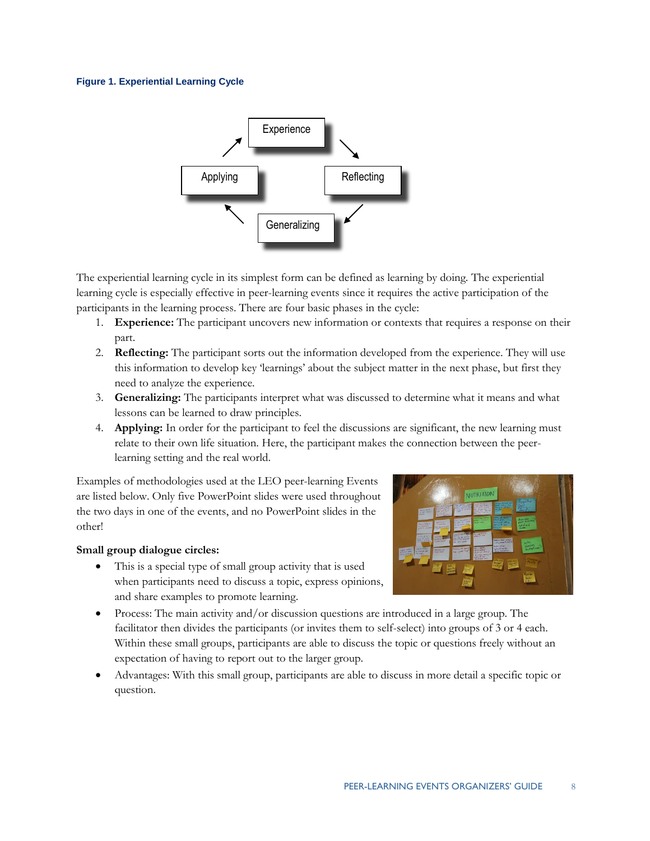### **Figure 1. Experiential Learning Cycle**



 learning cycle is especially effective in peer-learning events since it requires the active participation of the The experiential learning cycle in its simplest form can be defined as learning by doing. The experiential participants in the learning process. There are four basic phases in the cycle:

- 1. **Experience:** The participant uncovers new information or contexts that requires a response on their part.
- 2. **Reflecting:** The participant sorts out the information developed from the experience. They will use this information to develop key 'learnings' about the subject matter in the next phase, but first they need to analyze the experience.
- 3. **Generalizing:** The participants interpret what was discussed to determine what it means and what lessons can be learned to draw principles.
- learning setting and the real world. 4. **Applying:** In order for the participant to feel the discussions are significant, the new learning must relate to their own life situation. Here, the participant makes the connection between the peer-

 Examples of methodologies used at the LEO peer-learning Events are listed below. Only five PowerPoint slides were used throughout the two days in one of the events, and no PowerPoint slides in the other!

### **Small group dialogue circles:**

 This is a special type of small group activity that is used when participants need to discuss a topic, express opinions, and share examples to promote learning.



- facilitator then divides the participants (or invites them to self-select) into groups of 3 or 4 each. Process: The main activity and/or discussion questions are introduced in a large group. The Within these small groups, participants are able to discuss the topic or questions freely without an expectation of having to report out to the larger group.
- Advantages: With this small group, participants are able to discuss in more detail a specific topic or question.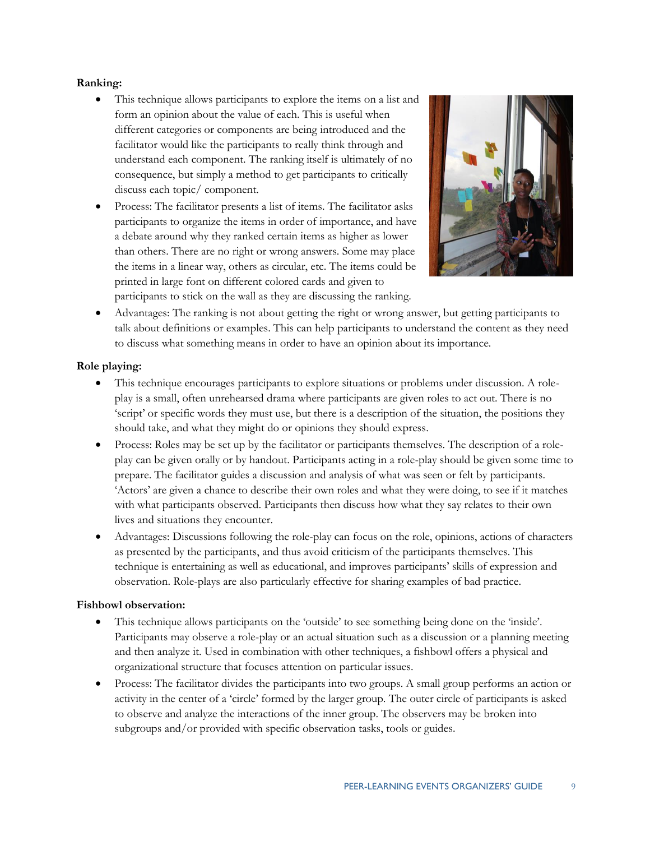### **Ranking:**

- consequence, but simply a method to get participants to critically This technique allows participants to explore the items on a list and form an opinion about the value of each. This is useful when different categories or components are being introduced and the facilitator would like the participants to really think through and understand each component. The ranking itself is ultimately of no discuss each topic/ component.
- a debate around why they ranked certain items as higher as lower Process: The facilitator presents a list of items. The facilitator asks participants to organize the items in order of importance, and have than others. There are no right or wrong answers. Some may place the items in a linear way, others as circular, etc. The items could be printed in large font on different colored cards and given to participants to stick on the wall as they are discussing the ranking.



 Advantages: The ranking is not about getting the right or wrong answer, but getting participants to talk about definitions or examples. This can help participants to understand the content as they need to discuss what something means in order to have an opinion about its importance.

### **Role playing:**

- 'script' or specific words they must use, but there is a description of the situation, the positions they This technique encourages participants to explore situations or problems under discussion. A roleplay is a small, often unrehearsed drama where participants are given roles to act out. There is no should take, and what they might do or opinions they should express.
- prepare. The facilitator guides a discussion and analysis of what was seen or felt by participants. Process: Roles may be set up by the facilitator or participants themselves. The description of a roleplay can be given orally or by handout. Participants acting in a role-play should be given some time to 'Actors' are given a chance to describe their own roles and what they were doing, to see if it matches with what participants observed. Participants then discuss how what they say relates to their own lives and situations they encounter.
- Advantages: Discussions following the role-play can focus on the role, opinions, actions of characters as presented by the participants, and thus avoid criticism of the participants themselves. This technique is entertaining as well as educational, and improves participants' skills of expression and observation. Role-plays are also particularly effective for sharing examples of bad practice.

### **Fishbowl observation:**

- This technique allows participants on the 'outside' to see something being done on the 'inside'. Participants may observe a role-play or an actual situation such as a discussion or a planning meeting and then analyze it. Used in combination with other techniques, a fishbowl offers a physical and organizational structure that focuses attention on particular issues.
- Process: The facilitator divides the participants into two groups. A small group performs an action or activity in the center of a 'circle' formed by the larger group. The outer circle of participants is asked to observe and analyze the interactions of the inner group. The observers may be broken into subgroups and/or provided with specific observation tasks, tools or guides.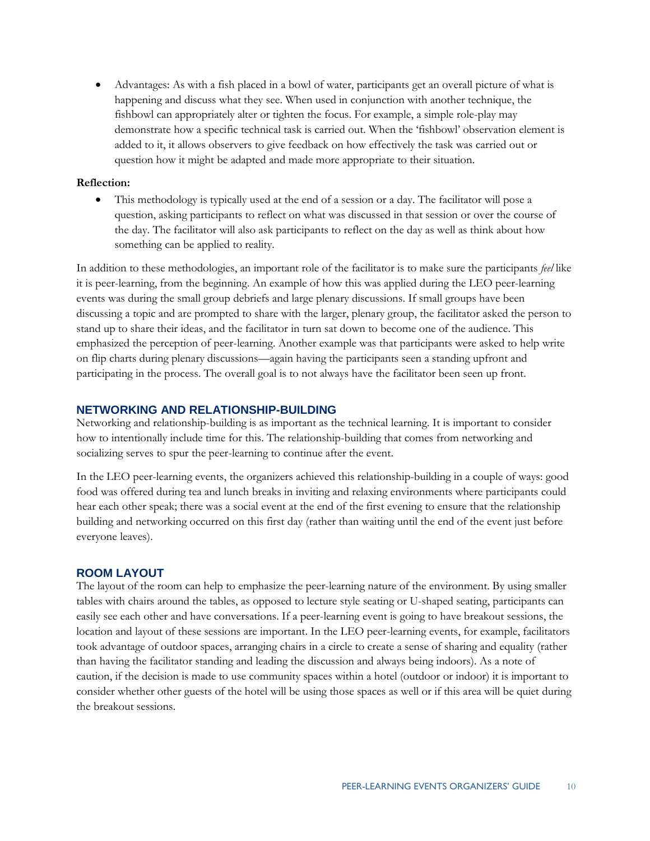fishbowl can appropriately alter or tighten the focus. For example, a simple role-play may Advantages: As with a fish placed in a bowl of water, participants get an overall picture of what is happening and discuss what they see. When used in conjunction with another technique, the demonstrate how a specific technical task is carried out. When the 'fishbowl' observation element is added to it, it allows observers to give feedback on how effectively the task was carried out or question how it might be adapted and made more appropriate to their situation.

### **Reflection:**

 something can be applied to reality. This methodology is typically used at the end of a session or a day. The facilitator will pose a question, asking participants to reflect on what was discussed in that session or over the course of the day. The facilitator will also ask participants to reflect on the day as well as think about how

 In addition to these methodologies, an important role of the facilitator is to make sure the participants *feel* like events was during the small group debriefs and large plenary discussions. If small groups have been emphasized the perception of peer-learning. Another example was that participants were asked to help write it is peer-learning, from the beginning. An example of how this was applied during the LEO peer-learning discussing a topic and are prompted to share with the larger, plenary group, the facilitator asked the person to stand up to share their ideas, and the facilitator in turn sat down to become one of the audience. This on flip charts during plenary discussions—again having the participants seen a standing upfront and participating in the process. The overall goal is to not always have the facilitator been seen up front.

### **NETWORKING AND RELATIONSHIP-BUILDING**

 how to intentionally include time for this. The relationship-building that comes from networking and socializing serves to spur the peer-learning to continue after the event. Networking and relationship-building is as important as the technical learning. It is important to consider

In the LEO peer-learning events, the organizers achieved this relationship-building in a couple of ways: good food was offered during tea and lunch breaks in inviting and relaxing environments where participants could hear each other speak; there was a social event at the end of the first evening to ensure that the relationship building and networking occurred on this first day (rather than waiting until the end of the event just before everyone leaves).

### **ROOM LAYOUT**

 easily see each other and have conversations. If a peer-learning event is going to have breakout sessions, the location and layout of these sessions are important. In the LEO peer-learning events, for example, facilitators took advantage of outdoor spaces, arranging chairs in a circle to create a sense of sharing and equality (rather The layout of the room can help to emphasize the peer-learning nature of the environment. By using smaller tables with chairs around the tables, as opposed to lecture style seating or U-shaped seating, participants can than having the facilitator standing and leading the discussion and always being indoors). As a note of caution, if the decision is made to use community spaces within a hotel (outdoor or indoor) it is important to consider whether other guests of the hotel will be using those spaces as well or if this area will be quiet during the breakout sessions.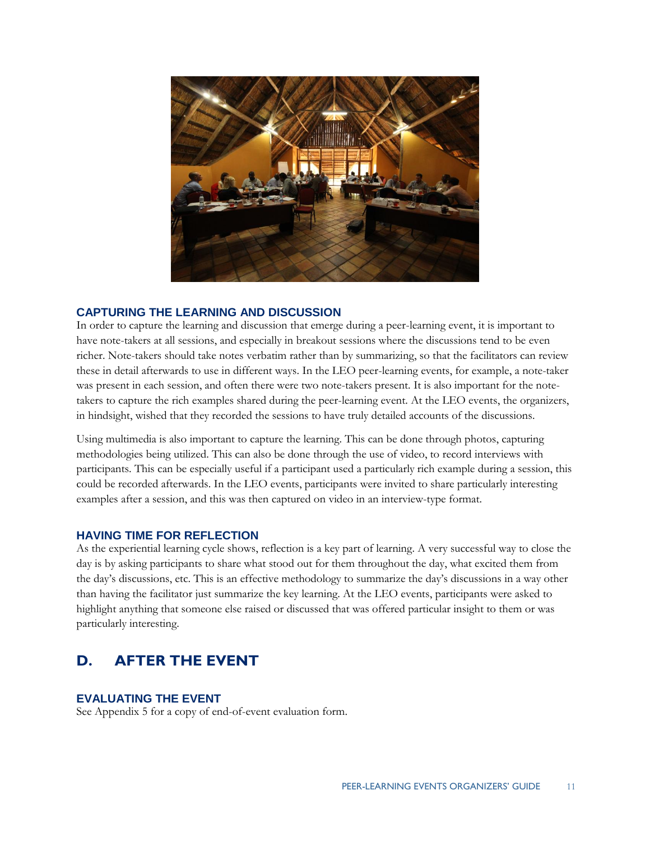

### **CAPTURING THE LEARNING AND DISCUSSION**

 have note-takers at all sessions, and especially in breakout sessions where the discussions tend to be even In order to capture the learning and discussion that emerge during a peer-learning event, it is important to richer. Note-takers should take notes verbatim rather than by summarizing, so that the facilitators can review these in detail afterwards to use in different ways. In the LEO peer-learning events, for example, a note-taker was present in each session, and often there were two note-takers present. It is also important for the notetakers to capture the rich examples shared during the peer-learning event. At the LEO events, the organizers, in hindsight, wished that they recorded the sessions to have truly detailed accounts of the discussions.

Using multimedia is also important to capture the learning. This can be done through photos, capturing methodologies being utilized. This can also be done through the use of video, to record interviews with participants. This can be especially useful if a participant used a particularly rich example during a session, this could be recorded afterwards. In the LEO events, participants were invited to share particularly interesting examples after a session, and this was then captured on video in an interview-type format.

### **HAVING TIME FOR REFLECTION**

 day is by asking participants to share what stood out for them throughout the day, what excited them from particularly interesting. As the experiential learning cycle shows, reflection is a key part of learning. A very successful way to close the the day's discussions, etc. This is an effective methodology to summarize the day's discussions in a way other than having the facilitator just summarize the key learning. At the LEO events, participants were asked to highlight anything that someone else raised or discussed that was offered particular insight to them or was

#### **D. D. AFTER THE EVENT**

### **EVALUATING THE EVENT**

See Appendix 5 for a copy of end-of-event evaluation form.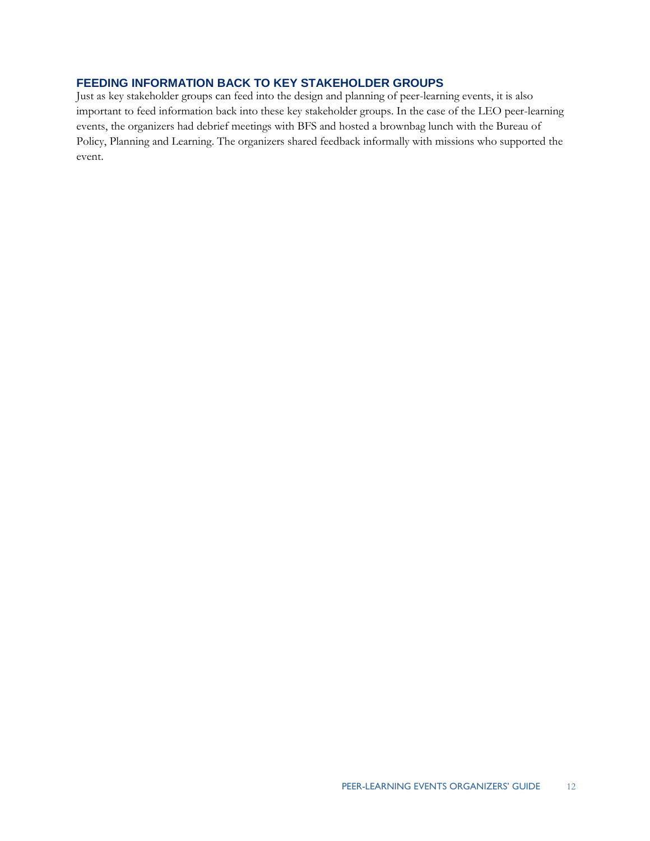### **FEEDING INFORMATION BACK TO KEY STAKEHOLDER GROUPS**

 events, the organizers had debrief meetings with BFS and hosted a brownbag lunch with the Bureau of Just as key stakeholder groups can feed into the design and planning of peer-learning events, it is also important to feed information back into these key stakeholder groups. In the case of the LEO peer-learning Policy, Planning and Learning. The organizers shared feedback informally with missions who supported the event.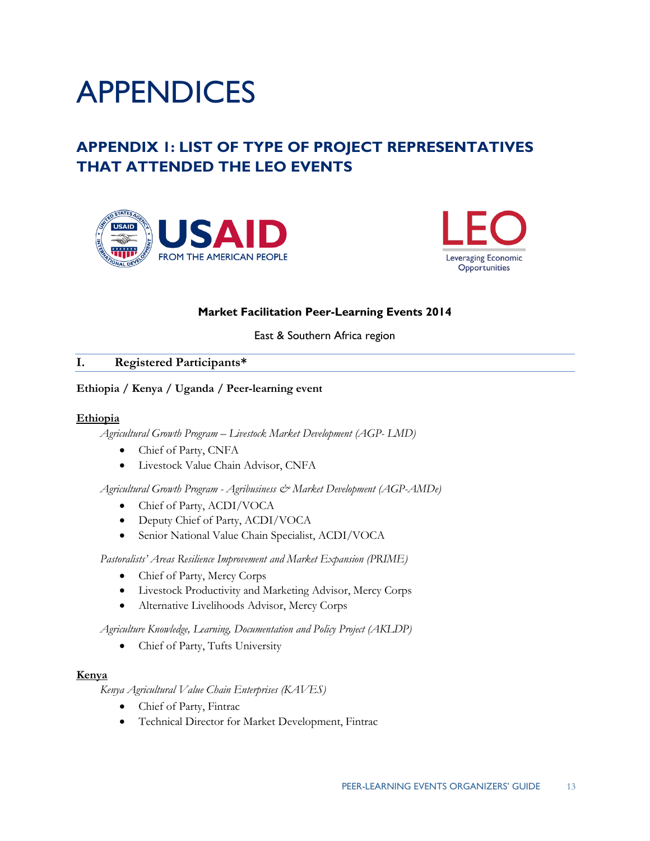

## **THAT ATTENDED THE LEO EVENTS APPENDIX 1: LIST OF TYPE OF PROJECT REPRESENTATIVES**





### **Market Facilitation Peer-Learning Events 2014**

East & Southern Africa region

### **I. Registered Participants\***

# **Ethiopia / Kenya / Uganda / Peer-learning event Ethiopia**

### Ethiopia

 *Agricultural Growth Program – Livestock Market Development (AGP- LMD)* 

- Chief of Party, CNFA
- Livestock Value Chain Advisor, CNFA

 *Agricultural Growth Program - Agribusiness & Market Development (AGP-AMDe)* 

- Chief of Party, ACDI/VOCA
- Deputy Chief of Party, ACDI/VOCA
- Senior National Value Chain Specialist, ACDI/VOCA

*Pastoralists' Areas Resilience Improvement and Market Expansion (PRIME)* 

- Chief of Party, Mercy Corps
- Livestock Productivity and Marketing Advisor, Mercy Corps
- Alternative Livelihoods Advisor, Mercy Corps

 *Agriculture Knowledge, Learning, Documentation and Policy Project (AKLDP)* 

• Chief of Party, Tufts University

### **Kenya**

*Kenya Agricultural Value Chain Enterprises (KAVES)* 

- Chief of Party, Fintrac
- Technical Director for Market Development, Fintrac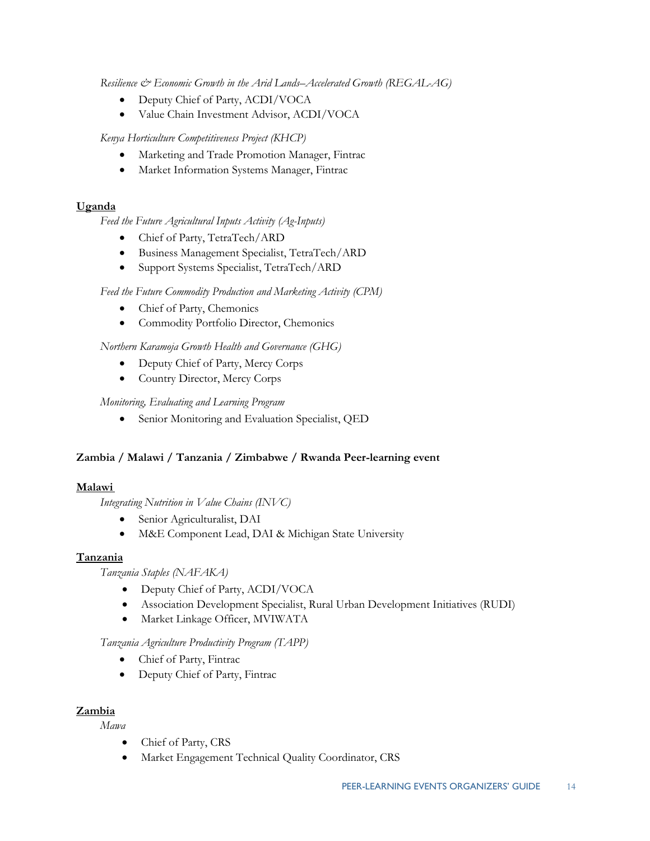*Resilience & Economic Growth in the Arid Lands–Accelerated Growth (REGAL-AG)* 

- Deputy Chief of Party, ACDI/VOCA
- Value Chain Investment Advisor, ACDI/VOCA

*Kenya Horticulture Competitiveness Project (KHCP)* 

- Marketing and Trade Promotion Manager, Fintrac
- Market Information Systems Manager, Fintrac

### **Uganda**

*Feed the Future Agricultural Inputs Activity (Ag-Inputs)* 

- Chief of Party, TetraTech/ARD
- Business Management Specialist, TetraTech/ARD
- Support Systems Specialist, TetraTech/ARD

 *Feed the Future Commodity Production and Marketing Activity (CPM)* 

- Chief of Party, Chemonics
- Commodity Portfolio Director, Chemonics

### *Northern Karamoja Growth Health and Governance (GHG)*

- Deputy Chief of Party, Mercy Corps
- Country Director, Mercy Corps

### *Monitoring, Evaluating and Learning Program*

Senior Monitoring and Evaluation Specialist, QED

# **Zambia / Malawi / Tanzania / Zimbabwe / Rwanda Peer-learning event Malawi**

### **Malawi**

 *Integrating Nutrition in Value Chains (INVC)* 

- Senior Agriculturalist, DAI
- M&E Component Lead, DAI & Michigan State University

### **Tanzania**

*Tanzania Staples (NAFAKA)* 

- Deputy Chief of Party, ACDI/VOCA
- Association Development Specialist, Rural Urban Development Initiatives (RUDI)
- $\bullet$  Market Linkage Officer, MVIWATA

### *Tanzania Agriculture Productivity Program (TAPP)*

- Chief of Party, Fintrac
- Deputy Chief of Party, Fintrac

### **Zambia**

*Mawa* 

- Chief of Party, CRS
- Market Engagement Technical Quality Coordinator, CRS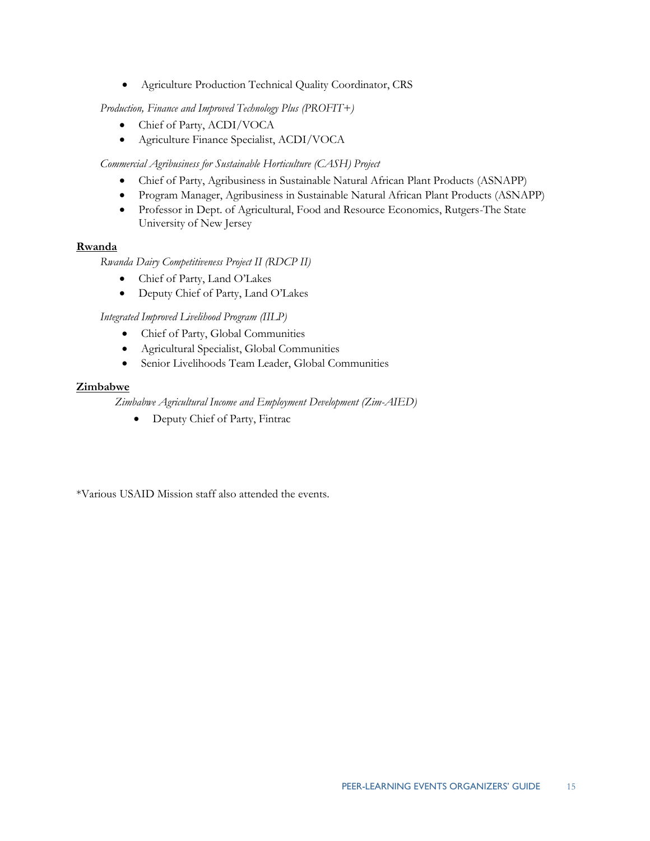Agriculture Production Technical Quality Coordinator, CRS

*Production, Finance and Improved Technology Plus (PROFIT+)* 

- Chief of Party, ACDI/VOCA
- Agriculture Finance Specialist, ACDI/VOCA

 *Commercial Agribusiness for Sustainable Horticulture (CASH) Project* 

- Chief of Party, Agribusiness in Sustainable Natural African Plant Products (ASNAPP)
- Program Manager, Agribusiness in Sustainable Natural African Plant Products (ASNAPP)
- University of New Jersey Professor in Dept. of Agricultural, Food and Resource Economics, Rutgers-The State

### **Rwanda**

*Rwanda Dairy Competitiveness Project II (RDCP II)* 

- Chief of Party, Land O'Lakes
- Deputy Chief of Party, Land O'Lakes

*Integrated Improved Livelihood Program (IILP)* 

- Chief of Party, Global Communities
- Agricultural Specialist, Global Communities
- Senior Livelihoods Team Leader, Global Communities

### **Zimbabwe**

*Zimbabwe Agricultural Income and Employment Development (Zim-AIED)* 

Deputy Chief of Party, Fintrac

\*Various USAID Mission staff also attended the events.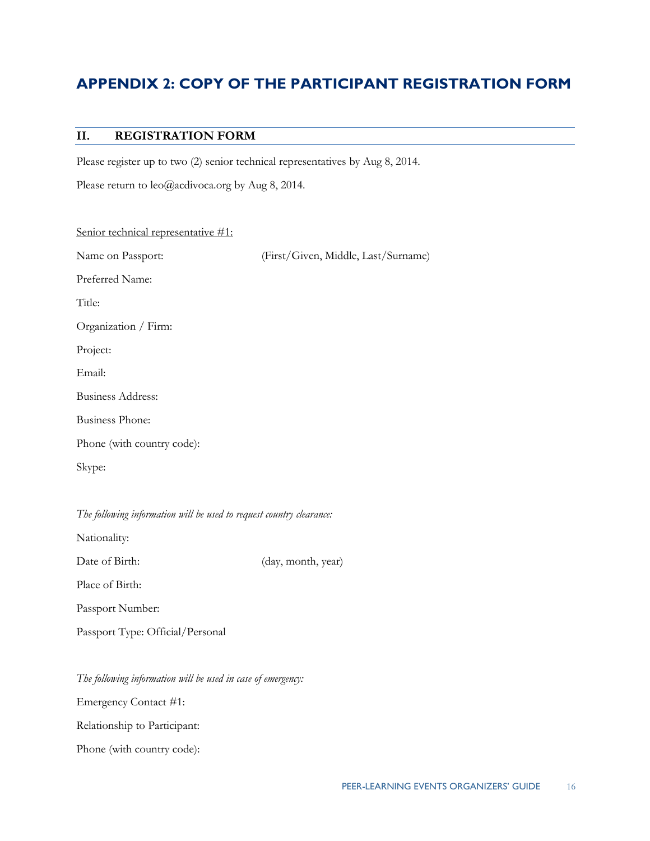## **APPENDIX 2: COPY OF THE PARTICIPANT REGISTRATION FORM**

### **II. REGISTRATION FORM**

Please register up to two (2) senior technical representatives by Aug 8, 2014.

Please return to leo@acdivoca.org by Aug 8, 2014.

| Senior technical representative #1:                                  |                                     |
|----------------------------------------------------------------------|-------------------------------------|
| Name on Passport:                                                    | (First/Given, Middle, Last/Surname) |
| Preferred Name:                                                      |                                     |
| Title:                                                               |                                     |
| Organization / Firm:                                                 |                                     |
| Project:                                                             |                                     |
| Email:                                                               |                                     |
| <b>Business Address:</b>                                             |                                     |
| <b>Business Phone:</b>                                               |                                     |
| Phone (with country code):                                           |                                     |
| Skype:                                                               |                                     |
|                                                                      |                                     |
| The following information will be used to request country clearance: |                                     |

Nationality:

Date of Birth: (day, month, year)

Place of Birth:

Passport Number:

Passport Type: Official/Personal

*The following information will be used in case of emergency:* 

Emergency Contact #1:

Relationship to Participant:

Relationship to Participant: Phone (with country code):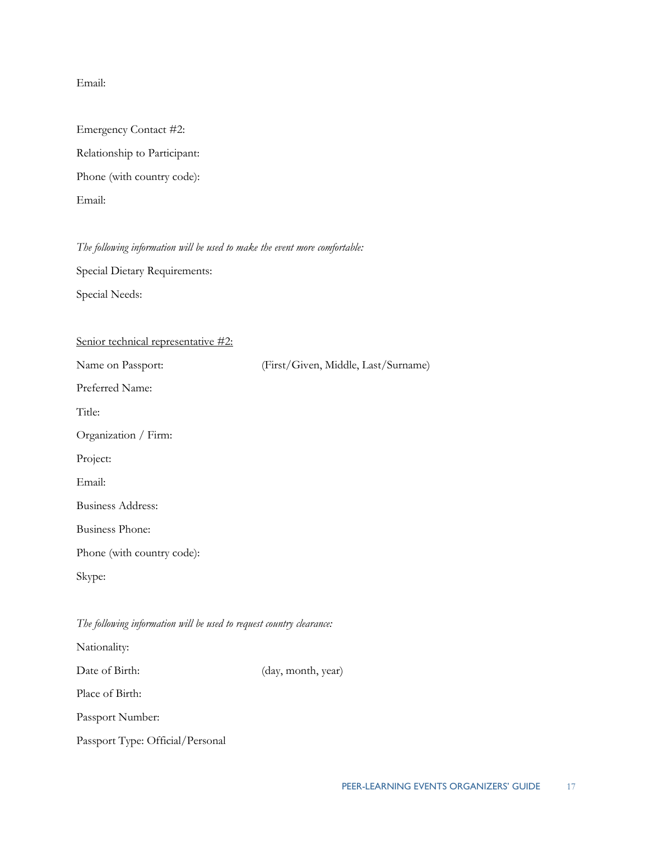Email:

| Email:                       |
|------------------------------|
|                              |
| Emergency Contact #2:        |
| Relationship to Participant: |
| Phone (with country code):   |
| Email:                       |

### *The following information will be used to make the event more comfortable:*

Special Dietary Requirements:

Special Needs:

| Senior technical representative #2:                                  |                                     |
|----------------------------------------------------------------------|-------------------------------------|
| Name on Passport:                                                    | (First/Given, Middle, Last/Surname) |
| Preferred Name:                                                      |                                     |
| Title:                                                               |                                     |
| Organization / Firm:                                                 |                                     |
| Project:                                                             |                                     |
| Email:                                                               |                                     |
| <b>Business Address:</b>                                             |                                     |
| <b>Business Phone:</b>                                               |                                     |
| Phone (with country code):                                           |                                     |
| Skype:                                                               |                                     |
|                                                                      |                                     |
| The following information will be used to request country clearance: |                                     |
| Nationality:                                                         |                                     |
| Date of Birth:                                                       | (day, month, year)                  |
| Place of Birth:                                                      |                                     |
| Passport Number:                                                     |                                     |
| Passport Type: Official/Personal                                     |                                     |
|                                                                      |                                     |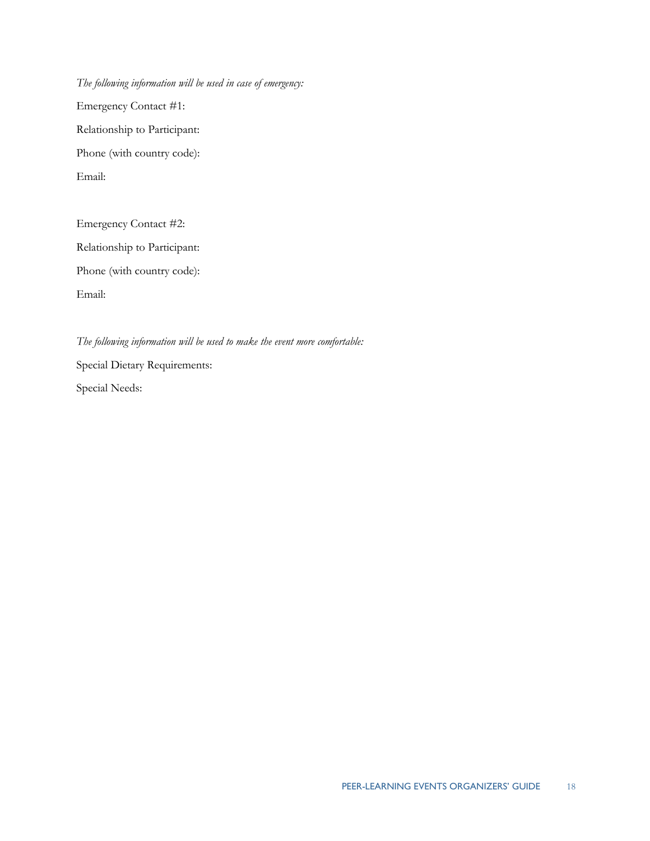Emergency Contact #1: Relationship to Participant: Email: *The following information will be used in case of emergency:*  Emergency Contact #1:<br>Relationship to Participant:<br>Phone (with country code):<br>Email:<br>Emergency Contact #2:

Relationship to Participant: Email: Relationship to Participant: Phone (with country code): Email:

 Special Needs: *The following information will be used to make the event more comfortable:*  Special Dietary Requirements: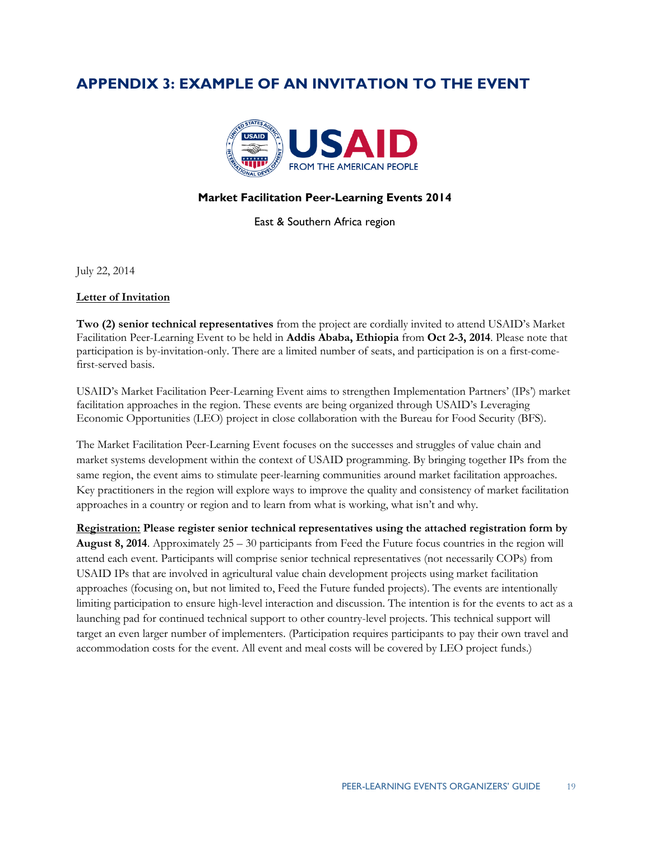### **APPENDIX 3: EXAMPLE OF AN INVITATION TO THE EVENT**



### **Market Facilitation Peer-Learning Events 2014**

East & Southern Africa region

July 22, 2014

### **Letter of Invitation**

**Two (2) senior technical representatives** from the project are cordially invited to attend USAID's Market Facilitation Peer-Learning Event to be held in **Addis Ababa, Ethiopia** from **Oct 2-3, 2014**. Please note that participation is by-invitation-only. There are a limited number of seats, and participation is on a first-comefirst-served basis.

 USAID's Market Facilitation Peer-Learning Event aims to strengthen Implementation Partners' (IPs') market facilitation approaches in the region. These events are being organized through USAID's Leveraging Economic Opportunities (LEO) project in close collaboration with the Bureau for Food Security (BFS).

same region, the event aims to stimulate peer-learning communities around market facilitation approaches. approaches in a country or region and to learn from what is working, what isn't and why. The Market Facilitation Peer-Learning Event focuses on the successes and struggles of value chain and market systems development within the context of USAID programming. By bringing together IPs from the Key practitioners in the region will explore ways to improve the quality and consistency of market facilitation

 **Registration: Please register senior technical representatives using the attached registration form by August 8, 2014**. Approximately 25 – 30 participants from Feed the Future focus countries in the region will attend each event. Participants will comprise senior technical representatives (not necessarily COPs) from USAID IPs that are involved in agricultural value chain development projects using market facilitation approaches (focusing on, but not limited to, Feed the Future funded projects). The events are intentionally limiting participation to ensure high-level interaction and discussion. The intention is for the events to act as a launching pad for continued technical support to other country-level projects. This technical support will target an even larger number of implementers. (Participation requires participants to pay their own travel and accommodation costs for the event. All event and meal costs will be covered by LEO project funds.)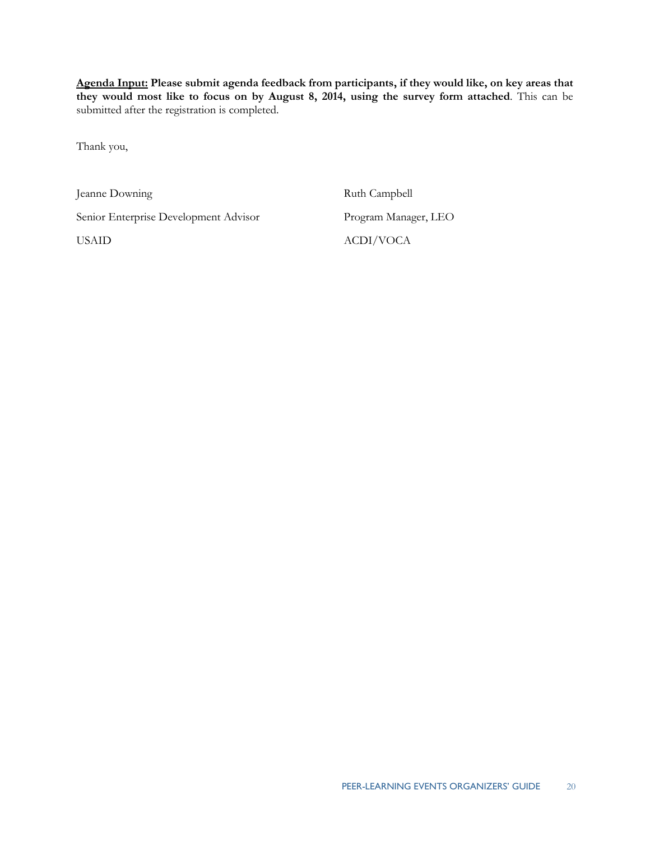**Agenda Input: Please submit agenda feedback from participants, if they would like, on key areas that they would most like to focus on by August 8, 2014, using the survey form attached**. This can be submitted after the registration is completed.

Thank you,

Jeanne Downing The Ruth Campbell

Senior Enterprise Development Advisor Program Manager, LEO

**USAID** 

ACDI/VOCA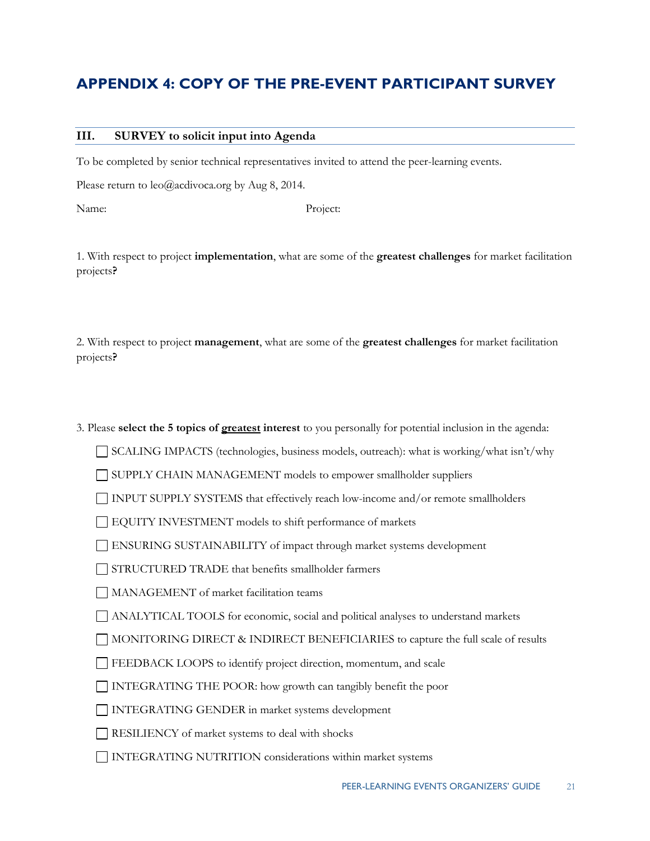## **APPENDIX 4: COPY OF THE PRE-EVENT PARTICIPANT SURVEY**

### **III. SURVEY to solicit input into Agenda**

To be completed by senior technical representatives invited to attend the peer-learning events.

Please return to  $leo(\partial \phi)$  acdivoca.org by Aug 8, 2014.

Name<sup>.</sup>

Project:

 1. With respect to project **implementation**, what are some of the **greatest challenges** for market facilitation projects**?** 

 2. With respect to project **management**, what are some of the **greatest challenges** for market facilitation projects**?** 

 3. Please **select the 5 topics of greatest interest** to you personally for potential inclusion in the agenda:

SCALING IMPACTS (technologies, business models, outreach): what is working/what isn't/why

SUPPLY CHAIN MANAGEMENT models to empower smallholder suppliers

INPUT SUPPLY SYSTEMS that effectively reach low-income and/or remote smallholders

EQUITY INVESTMENT models to shift performance of markets

ENSURING SUSTAINABILITY of impact through market systems development

STRUCTURED TRADE that benefits smallholder farmers

MANAGEMENT of market facilitation teams

ANALYTICAL TOOLS for economic, social and political analyses to understand markets

MONITORING DIRECT & INDIRECT BENEFICIARIES to capture the full scale of results

FEEDBACK LOOPS to identify project direction, momentum, and scale

INTEGRATING THE POOR: how growth can tangibly benefit the poor INTEGRATING GENDER in market systems development

RESILIENCY of market systems to deal with shocks

INTEGRATING NUTRITION considerations within market systems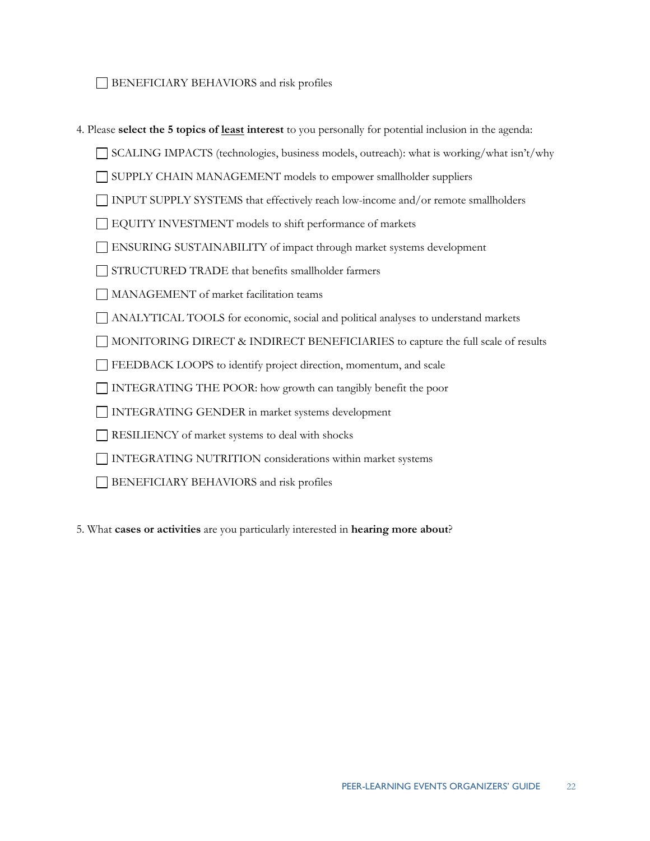### BENEFICIARY BEHAVIORS and risk profiles

- BENEFICIARY BEHAVIORS and risk profiles 4. Please **select the 5 topics of least interest** to you personally for potential inclusion in the agenda:
	- SCALING IMPACTS (technologies, business models, outreach): what is working/what isn't/why

SUPPLY CHAIN MANAGEMENT models to empower smallholder suppliers

INPUT SUPPLY SYSTEMS that effectively reach low-income and/or remote smallholders

- EQUITY INVESTMENT models to shift performance of markets
- ENSURING SUSTAINABILITY of impact through market systems development
- STRUCTURED TRADE that benefits smallholder farmers
- MANAGEMENT of market facilitation teams
- ANALYTICAL TOOLS for economic, social and political analyses to understand markets
- MONITORING DIRECT & INDIRECT BENEFICIARIES to capture the full scale of results
- FEEDBACK LOOPS to identify project direction, momentum, and scale
- INTEGRATING THE POOR: how growth can tangibly benefit the poor INTEGRATING GENDER in market systems development
- 
- RESILIENCY of market systems to deal with shocks
- INTEGRATING NUTRITION considerations within market systems
- BENEFICIARY BEHAVIORS and risk profiles
- BENEFICIARY BEHAVIORS and risk profiles 5. What **cases or activities** are you particularly interested in **hearing more about**?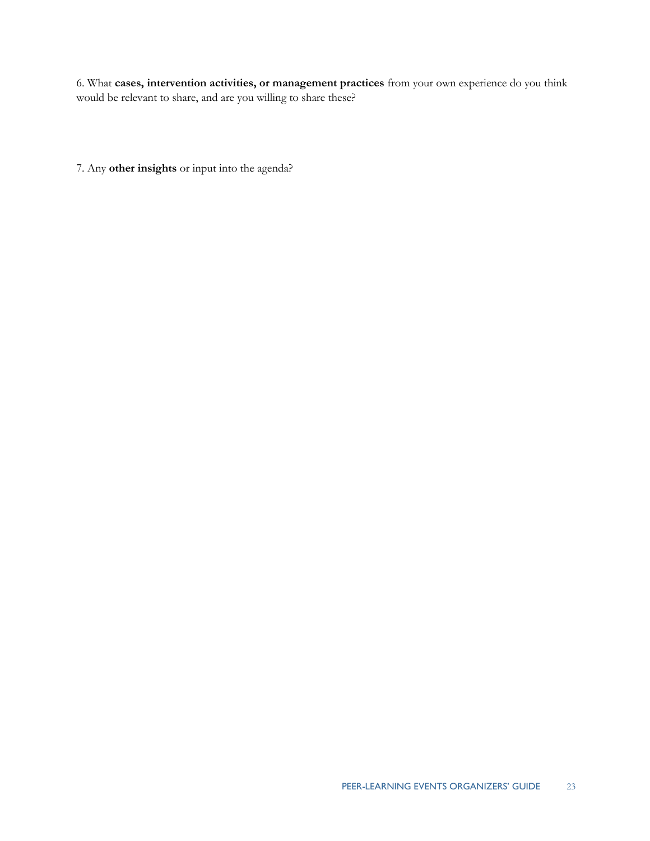6. What **cases, intervention activities, or management practices** from your own experience do you think would be relevant to share, and are you willing to share these?

7. Any **other insights** or input into the agenda?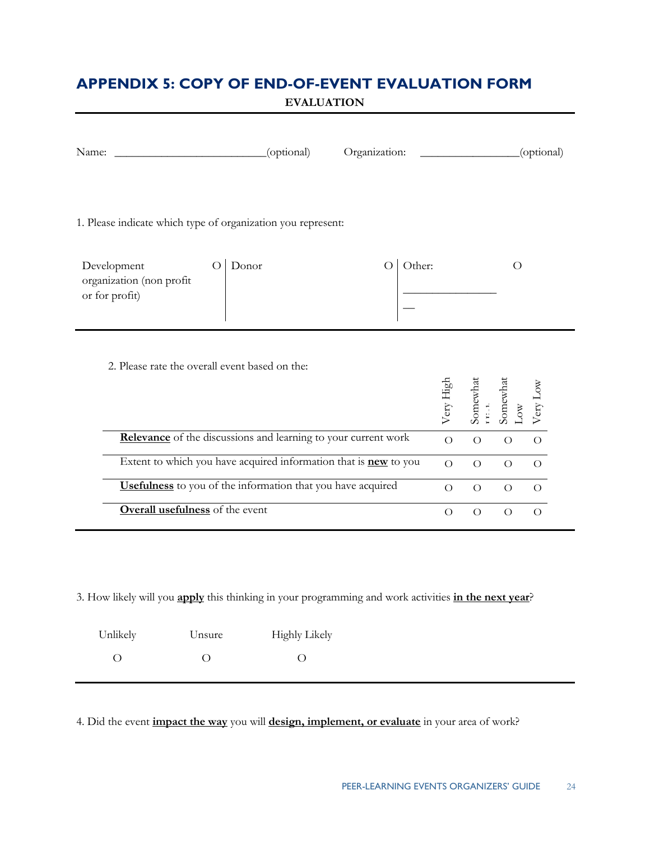## **APPENDIX 5: COPY OF END-OF-EVENT EVALUATION FORM**

**EVALUATION** 

| Name:                                                            | (optional) | Organization:              |                |                |                       | (optional)     |  |
|------------------------------------------------------------------|------------|----------------------------|----------------|----------------|-----------------------|----------------|--|
| 1. Please indicate which type of organization you represent:     |            |                            |                |                |                       |                |  |
| Development<br>organization (non profit<br>or for profit)        | Donor      | Other:<br>$\left( \right)$ |                |                | O                     |                |  |
| 2. Please rate the overall event based on the:                   |            |                            | Very High      | Somewhat       | Somewhat<br><b>NO</b> | Very Low       |  |
| Relevance of the discussions and learning to your current work   |            |                            | $\overline{O}$ | $\bigcirc$     | $\bigcirc$            | $\overline{O}$ |  |
| Extent to which you have acquired information that is new to you |            |                            | $\Omega$       | $\overline{O}$ | $\overline{O}$        | $\Omega$       |  |
| Usefulness to you of the information that you have acquired      |            |                            | $\Omega$       | $\overline{O}$ | $\overline{O}$        | $\Omega$       |  |
| <b>Overall usefulness</b> of the event                           |            |                            | $\Omega$       | $\Omega$       | $\Omega$              | $\Omega$       |  |

3. How likely will you **apply** this thinking in your programming and work activities **in the next year**?

| Unlikely | Unsure | Highly Likely |
|----------|--------|---------------|
|          |        |               |

4. Did the event **impact the way** you will **design, implement, or evaluate** in your area of work?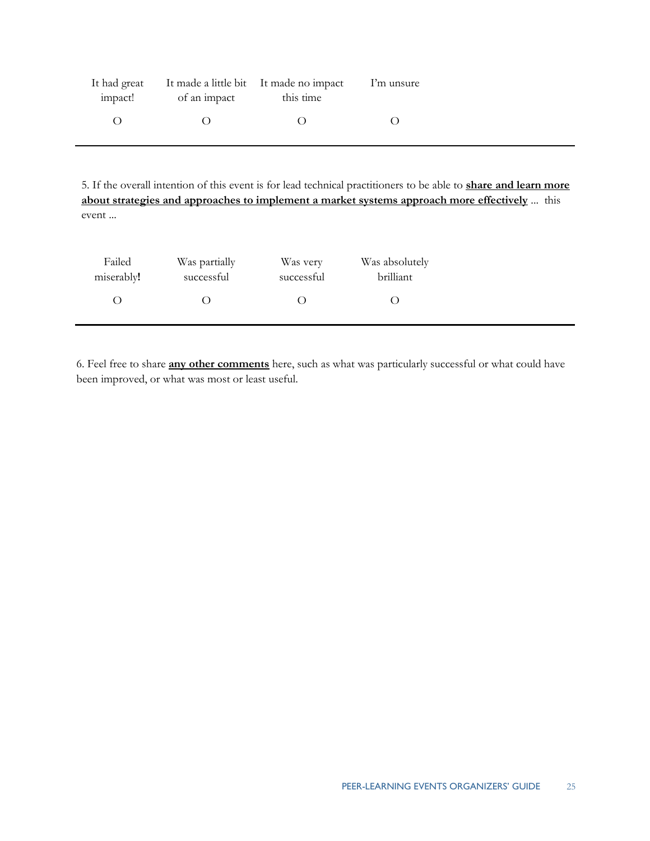| It had great<br>impact! | of an impact | It made a little bit It made no impact<br>this time | I'm unsure |
|-------------------------|--------------|-----------------------------------------------------|------------|
|                         |              |                                                     |            |

 **about strategies and approaches to implement a market systems approach more effectively** ... this 5. If the overall intention of this event is for lead technical practitioners to be able to **share and learn more**  event ...

| Failed     | Was partially | Was very   | Was absolutely |  |
|------------|---------------|------------|----------------|--|
| miserably! | successful    | successful | brilliant      |  |
|            |               |            |                |  |

6. Feel free to share **any other comments** here, such as what was particularly successful or what could have been improved, or what was most or least useful.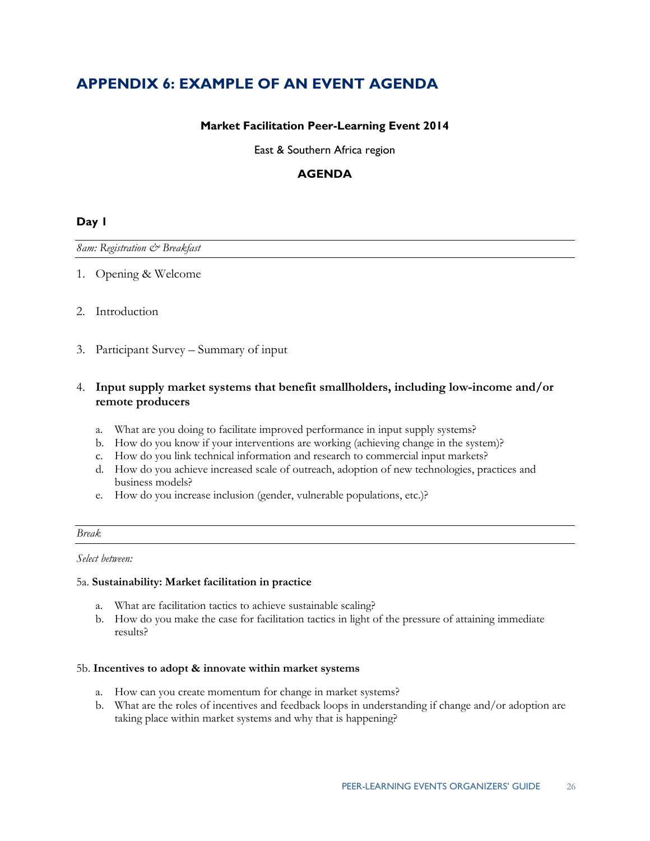## **APPENDIX 6: EXAMPLE OF AN EVENT AGENDA**

### **Market Facilitation Peer-Learning Event 2014**

East & Southern Africa region

### **AGENDA**

### **Day 1**

### *8am: Registration & Breakfast*

1. Opening & Welcome<br>2. Introduction

3. Participant Survey – Summary of input

### 4. **Input supply market systems that benefit smallholders, including low-income and/or remote producers**

- a. What are you doing to facilitate improved performance in input supply systems?
- b. How do you know if your interventions are working (achieving change in the system)?
- c. How do you link technical information and research to commercial input markets?
- d. How do you achieve increased scale of outreach, adoption of new technologies, practices and business models?
- e. How do you increase inclusion (gender, vulnerable populations, etc.)?

### *Break*

*Select between:* 

### 5a. **Sustainability: Market facilitation in practice**

- a. What are facilitation tactics to achieve sustainable scaling?
- results? b. How do you make the case for facilitation tactics in light of the pressure of attaining immediate

### 5b. Incentives to adopt & innovate within market systems

- a. How can you create momentum for change in market systems?
- b. What are the roles of incentives and feedback loops in understanding if change and/or adoption are taking place within market systems and why that is happening?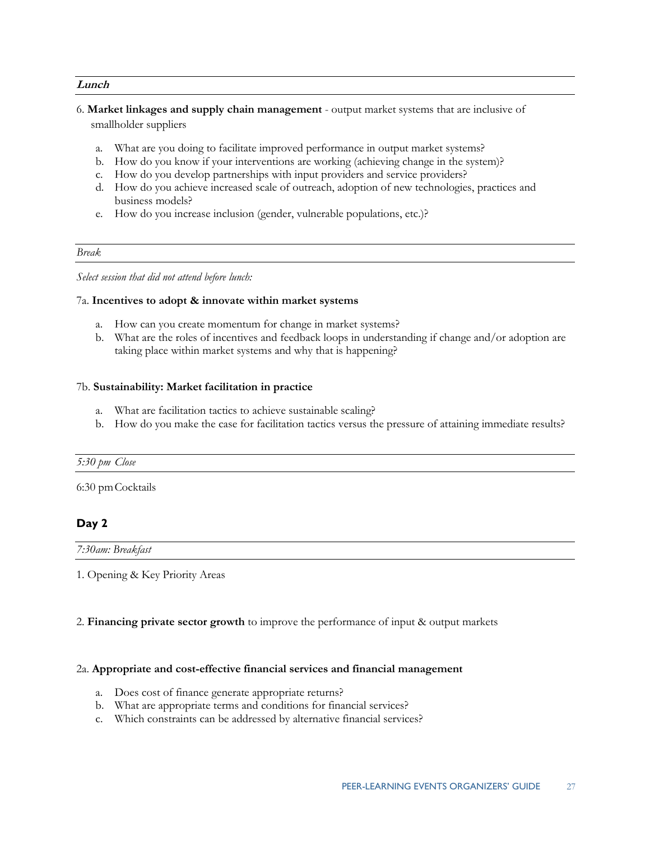### **Lunch**

- 6. **Market linkages and supply chain management**  output market systems that are inclusive of smallholder suppliers
	- smallholder suppliers<br>a. What are you doing to facilitate improved performance in output market systems?
	- b. How do you know if your interventions are working (achieving change in the system)?
	- c. How do you develop partnerships with input providers and service providers?
	- d. How do you achieve increased scale of outreach, adoption of new technologies, practices and business models?
	- e. How do you increase inclusion (gender, vulnerable populations, etc.)?

### *Break*

*Select session that did not attend before lunch:* 

### 7a. **Incentives to adopt & innovate within market systems**

- a. How can you create momentum for change in market systems?
- taking place within market systems and why that is happening? 7b. **Sustainability: Market facilitation in practice**  b. What are the roles of incentives and feedback loops in understanding if change and/or adoption are

### 7b. Sustainability: Market facilitation in practice

- a. What are facilitation tactics to achieve sustainable scaling?
- b. How do you make the case for facilitation tactics versus the pressure of attaining immediate results?

### *5:30 pm Close*

6:30 pm Cocktails

### **Day 2**

*7:30am: Breakfast* 

1. Opening & Key Priority Areas

2. **Financing private sector growth** to improve the performance of input & output markets

### 2a. **Appropriate and cost-effective financial services and financial management**

- a. Does cost of finance generate appropriate returns?
- b. What are appropriate terms and conditions for financial services?
- c. Which constraints can be addressed by alternative financial services?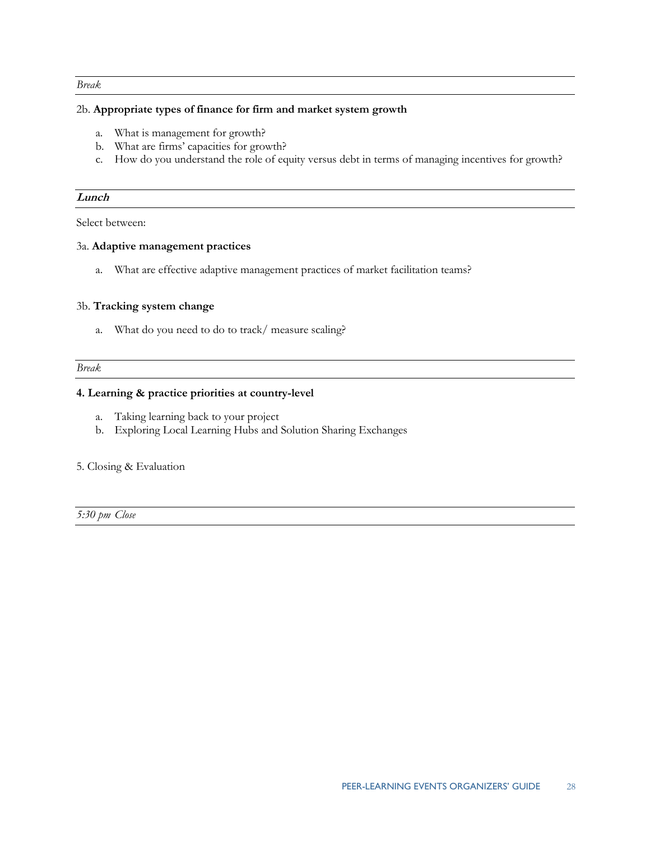### *Break*

### 2b. **Appropriate types of finance for firm and market system growth**

- a. What is management for growth?
- b. What are firms' capacities for growth?
- c. How do you understand the role of equity versus debt in terms of managing incentives for growth?

### **Lunch**

Select between:

### 3a. **Adaptive management practices**

a. What are effective adaptive management practices of market facilitation teams? 3b. **Tracking system change** 

### 3b. Tracking system change

a. What do you need to do to track/ measure scaling?

*Break* 

### **4. Learning & practice priorities at country-level**

- a. Taking learning back to your project
- b. Exploring Local Learning Hubs and Solution Sharing Exchanges

### 5. Closing & Evaluation

 *5:30 pm Close*